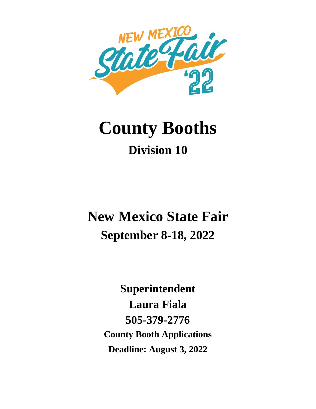

# **County Booths Division 10**

## **New Mexico State Fair September 8-18, 2022**

**Superintendent Laura Fiala 505-379-2776 County Booth Applications Deadline: August 3, 2022**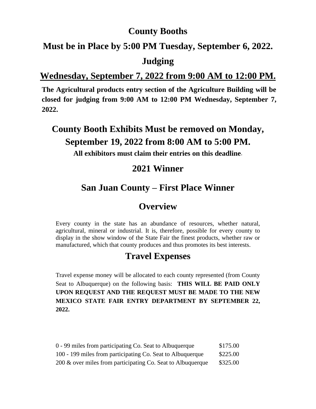#### **County Booths**

#### **Must be in Place by 5:00 PM Tuesday, September 6, 2022.**

#### **Judging**

#### **Wednesday, September 7, 2022 from 9:00 AM to 12:00 PM.**

**The Agricultural products entry section of the Agriculture Building will be closed for judging from 9:00 AM to 12:00 PM Wednesday, September 7, 2022.**

## **County Booth Exhibits Must be removed on Monday, September 19, 2022 from 8:00 AM to 5:00 PM.**

**All exhibitors must claim their entries on this deadline**.

#### **2021 Winner**

#### **San Juan County – First Place Winner**

#### **Overview**

Every county in the state has an abundance of resources, whether natural, agricultural, mineral or industrial. It is, therefore, possible for every county to display in the show window of the State Fair the finest products, whether raw or manufactured, which that county produces and thus promotes its best interests.

#### **Travel Expenses**

Travel expense money will be allocated to each county represented (from County Seat to Albuquerque) on the following basis: **THIS WILL BE PAID ONLY UPON REQUEST AND THE REQUEST MUST BE MADE TO THE NEW MEXICO STATE FAIR ENTRY DEPARTMENT BY SEPTEMBER 22, 2022.**

| 0 - 99 miles from participating Co. Seat to Albuquerque     | \$175.00 |
|-------------------------------------------------------------|----------|
| 100 - 199 miles from participating Co. Seat to Albuquerque  | \$225.00 |
| 200 & over miles from participating Co. Seat to Albuquerque | \$325.00 |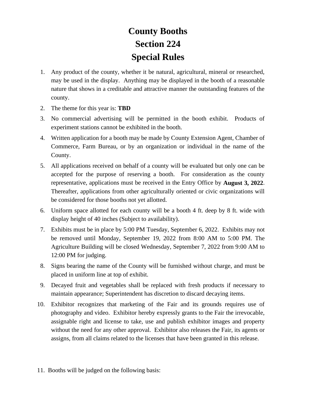## **County Booths Section 224 Special Rules**

- 1. Any product of the county, whether it be natural, agricultural, mineral or researched, may be used in the display. Anything may be displayed in the booth of a reasonable nature that shows in a creditable and attractive manner the outstanding features of the county.
- 2. The theme for this year is: **TBD**
- 3. No commercial advertising will be permitted in the booth exhibit. Products of experiment stations cannot be exhibited in the booth.
- 4. Written application for a booth may be made by County Extension Agent, Chamber of Commerce, Farm Bureau, or by an organization or individual in the name of the County.
- 5. All applications received on behalf of a county will be evaluated but only one can be accepted for the purpose of reserving a booth. For consideration as the county representative, applications must be received in the Entry Office by **August 3, 2022**. Thereafter, applications from other agriculturally oriented or civic organizations will be considered for those booths not yet allotted.
- 6. Uniform space allotted for each county will be a booth 4 ft. deep by 8 ft. wide with display height of 40 inches (Subject to availability).
- 7. Exhibits must be in place by 5:00 PM Tuesday, September 6, 2022. Exhibits may not be removed until Monday, September 19, 2022 from 8:00 AM to 5:00 PM. The Agriculture Building will be closed Wednesday, September 7, 2022 from 9:00 AM to 12:00 PM for judging.
- 8. Signs bearing the name of the County will be furnished without charge, and must be placed in uniform line at top of exhibit.
- 9. Decayed fruit and vegetables shall be replaced with fresh products if necessary to maintain appearance; Superintendent has discretion to discard decaying items.
- 10. Exhibitor recognizes that marketing of the Fair and its grounds requires use of photography and video. Exhibitor hereby expressly grants to the Fair the irrevocable, assignable right and license to take, use and publish exhibitor images and property without the need for any other approval. Exhibitor also releases the Fair, its agents or assigns, from all claims related to the licenses that have been granted in this release.
- 11. Booths will be judged on the following basis: